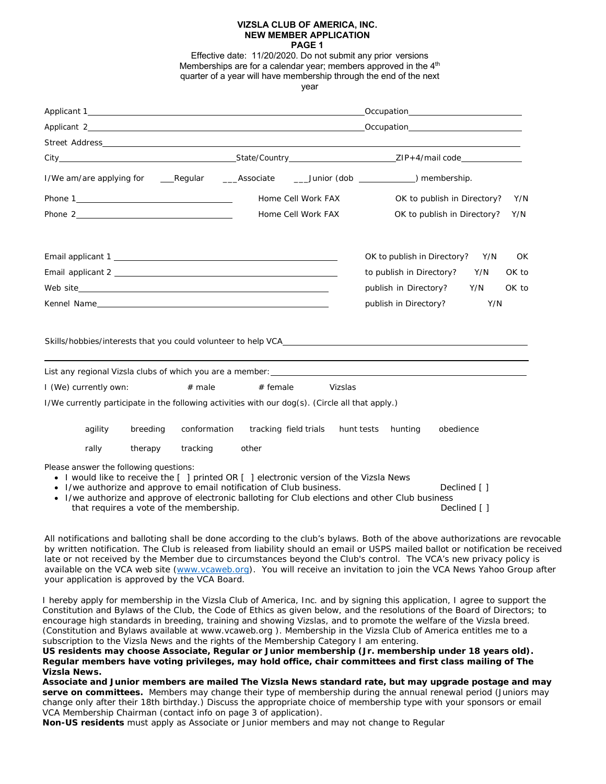#### **VIZSLA CLUB OF AMERICA, INC. NEW MEMBER APPLICATION PAGE 1**

Effective date: 11/20/2020. Do not submit any prior versions Memberships are for a calendar year; members approved in the  $4<sup>th</sup>$ quarter of a year will have membership through the end of the next year

|                                                                                                                                                                                                                                                                                                             |          |                                         |                       | Home Cell Work FAX |         | OK to publish in Directory? |  |                              | Y/N |       |
|-------------------------------------------------------------------------------------------------------------------------------------------------------------------------------------------------------------------------------------------------------------------------------------------------------------|----------|-----------------------------------------|-----------------------|--------------------|---------|-----------------------------|--|------------------------------|-----|-------|
|                                                                                                                                                                                                                                                                                                             |          |                                         |                       | Home Cell Work FAX |         | OK to publish in Directory? |  |                              | Y/N |       |
|                                                                                                                                                                                                                                                                                                             |          |                                         |                       |                    |         | OK to publish in Directory? |  |                              | Y/N | OK    |
| Email applicant 2 and 2 and 2 and 2 and 2 and 2 and 2 and 2 and 2 and 2 and 2 and 2 and 2 and 2 and 2 and 2 and 2 and 2 and 2 and 2 and 2 and 2 and 2 and 2 and 2 and 2 and 2 and 2 and 2 and 2 and 2 and 2 and 2 and 2 and 2                                                                               |          |                                         |                       |                    |         | to publish in Directory?    |  |                              | Y/N | OK to |
| Web site $\qquad \qquad$                                                                                                                                                                                                                                                                                    |          |                                         |                       |                    |         | publish in Directory?       |  |                              | Y/N | OK to |
|                                                                                                                                                                                                                                                                                                             |          |                                         |                       |                    |         | publish in Directory?       |  |                              | Y/N |       |
| Skills/hobbies/interests that you could volunteer to help VCA holds are also as a series of the state of the state of the state of the state of the state of the state of the state of the state of the state of the state of<br>List any regional Vizsla clubs of which you are a member:                  |          |                                         |                       |                    |         |                             |  |                              |     |       |
| I (We) currently own:                                                                                                                                                                                                                                                                                       |          | $#$ male                                | $#$ female            |                    | Vizslas |                             |  |                              |     |       |
| I/We currently participate in the following activities with our dog(s). (Circle all that apply.)                                                                                                                                                                                                            |          |                                         |                       |                    |         |                             |  |                              |     |       |
| agility                                                                                                                                                                                                                                                                                                     | breeding | conformation                            | tracking field trials |                    |         | hunt tests hunting          |  | obedience                    |     |       |
| rally                                                                                                                                                                                                                                                                                                       | therapy  | tracking                                | other                 |                    |         |                             |  |                              |     |       |
| Please answer the following questions:<br>• I would like to receive the [ ] printed OR [ ] electronic version of the Vizsla News<br>• I/we authorize and approve to email notification of Club business.<br>• I/we authorize and approve of electronic balloting for Club elections and other Club business |          | that requires a vote of the membership. |                       |                    |         |                             |  | Declined [ ]<br>Declined [ ] |     |       |

All notifications and balloting shall be done according to the club's bylaws. Both of the above authorizations are revocable by written notification. The Club is released from liability should an email or USPS mailed ballot or notification be received late or not received by the Member due to circumstances beyond the Club's control. The VCA's new privacy policy is available on the VCA web site (www.vcaweb.org). You will receive an invitation to join the VCA News Yahoo Group after your application is approved by the VCA Board*.* 

I hereby apply for membership in the Vizsla Club of America, Inc. and by signing this application, I agree to support the Constitution and Bylaws of the Club, the Code of Ethics as given below, and the resolutions of the Board of Directors; to encourage high standards in breeding, training and showing Vizslas, and to promote the welfare of the Vizsla breed. (Constitution and Bylaws available at www.vcaweb.org ). Membership in the Vizsla Club of America entitles me to a subscription to the Vizsla News and the rights of the Membership Category I am entering.

**US residents may choose Associate, Regular or Junior membership (Jr. membership under 18 years old). Regular members have voting privileges, may hold office, chair committees and first class mailing of The Vizsla News.** 

**Associate and Junior members are mailed The Vizsla News standard rate, but may upgrade postage and may serve on committees.** Members may change their type of membership during the annual renewal period (Juniors may change only after their 18th birthday.) Discuss the appropriate choice of membership type with your sponsors or email VCA Membership Chairman (contact info on page 3 of application).

**Non-US residents** must apply as Associate or Junior members and may not change to Regular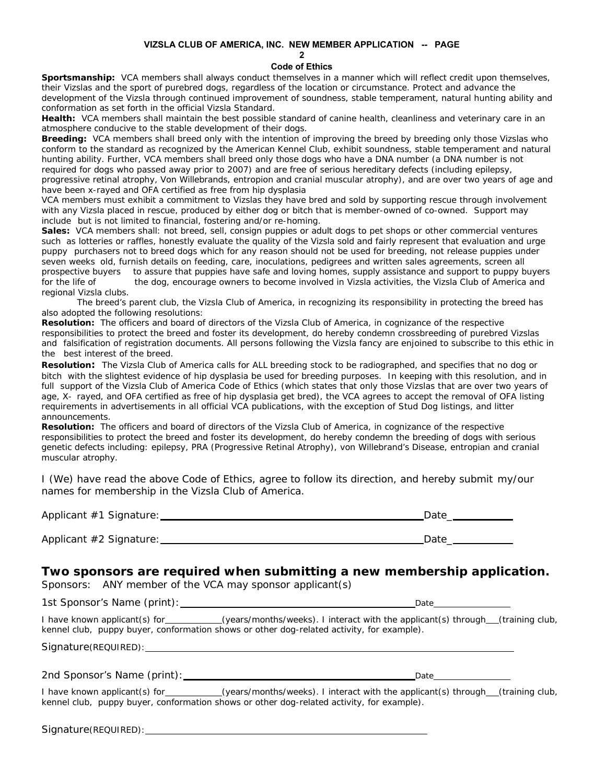# **VIZSLA CLUB OF AMERICA, INC. NEW MEMBER APPLICATION -- PAGE**

**2**

# **Code of Ethics**

**Sportsmanship:** VCA members shall always conduct themselves in a manner which will reflect credit upon themselves, their Vizslas and the sport of purebred dogs, regardless of the location or circumstance. Protect and advance the development of the Vizsla through continued improvement of soundness, stable temperament, natural hunting ability and conformation as set forth in the official Vizsla Standard.

**Health:** VCA members shall maintain the best possible standard of canine health, cleanliness and veterinary care in an atmosphere conducive to the stable development of their dogs.

**Breeding:** VCA members shall breed only with the intention of improving the breed by breeding only those Vizslas who conform to the standard as recognized by the American Kennel Club, exhibit soundness, stable temperament and natural hunting ability. Further, VCA members shall breed only those dogs who have a DNA number (a DNA number is not required for dogs who passed away prior to 2007) and are free of serious hereditary defects (including epilepsy, progressive retinal atrophy, Von Willebrands, entropion and cranial muscular atrophy), and are over two years of age and have been x-rayed and OFA certified as free from hip dysplasia

VCA members must exhibit a commitment to Vizslas they have bred and sold by supporting rescue through involvement with any Vizsla placed in rescue, produced by either dog or bitch that is member-owned of co-owned. Support may include but is not limited to financial, fostering and/or re-homing.

**Sales:** VCA members shall: not breed, sell, consign puppies or adult dogs to pet shops or other commercial ventures such as lotteries or raffles, honestly evaluate the quality of the Vizsla sold and fairly represent that evaluation and urge puppy purchasers not to breed dogs which for any reason should not be used for breeding, not release puppies under seven weeks old, furnish details on feeding, care, inoculations, pedigrees and written sales agreements, screen all prospective buyers to assure that puppies have safe and loving homes, supply assistance and support to puppy buyers for the life of the dog, encourage owners to become involved in Vizsla activities, the Vizsla Club of America and regional Vizsla clubs.

The breed's parent club, the Vizsla Club of America, in recognizing its responsibility in protecting the breed has also adopted the following resolutions:

**Resolution:** The officers and board of directors of the Vizsla Club of America, in cognizance of the respective responsibilities to protect the breed and foster its development, do hereby condemn crossbreeding of purebred Vizslas and falsification of registration documents. All persons following the Vizsla fancy are enjoined to subscribe to this ethic in the best interest of the breed.

**Resolution:** The Vizsla Club of America calls for ALL breeding stock to be radiographed, and specifies that no dog or bitch with the slightest evidence of hip dysplasia be used for breeding purposes. In keeping with this resolution, and in full support of the Vizsla Club of America Code of Ethics (which states that only those Vizslas that are over two years of age, X- rayed, and OFA certified as free of hip dysplasia get bred), the VCA agrees to accept the removal of OFA listing requirements in advertisements in all official VCA publications, with the exception of Stud Dog listings, and litter announcements.

**Resolution:** The officers and board of directors of the Vizsla Club of America, in cognizance of the respective responsibilities to protect the breed and foster its development, do hereby condemn the breeding of dogs with serious genetic defects including: epilepsy, PRA (Progressive Retinal Atrophy), von Willebrand's Disease, entropian and cranial muscular atrophy.

I (We) have read the above Code of Ethics, agree to follow its direction, and hereby submit my/our names for membership in the Vizsla Club of America.

| Applicant #1 Signature: | Date |
|-------------------------|------|
|                         |      |

Applicant #2 Signature: 2008 2009 2009 2009 2009 2010 2014 2020 2030 2040 2040 2040 2050 2060 2071 2080 2010 20

# *Two sponsors are required when submitting a new membership application.*

*Sponsors:* ANY member of the VCA may sponsor applicant(s)

*1st Sponsor's Name* (print): Date

I have known applicant(s) for (years/months/weeks). I interact with the applicant(s) through (training club, kennel club, puppy buyer, conformation shows or other dog-related activity, for example).

Signature(REQUIRED): \_\_\_\_\_\_\_\_\_\_\_\_\_\_\_

*2nd Sponsor's Name* (print): 2nd Sponsor's Name (print):

I have known applicant(s) for (years/months/weeks). I interact with the applicant(s) through (training club, kennel club, puppy buyer, conformation shows or other dog-related activity, for example).

Signature(REQUIRED):